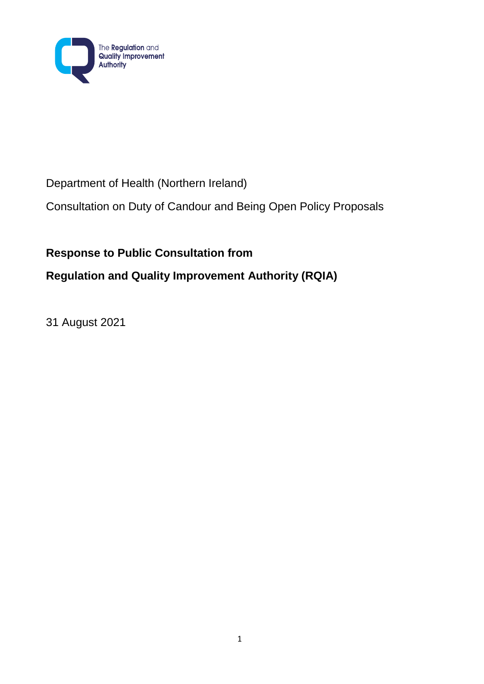

# Department of Health (Northern Ireland)

Consultation on Duty of Candour and Being Open Policy Proposals

# **Response to Public Consultation from**

# **Regulation and Quality Improvement Authority (RQIA)**

31 August 2021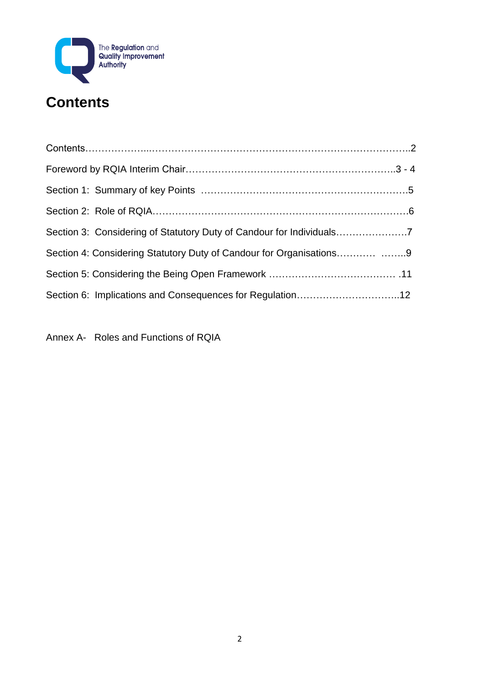

| Section 4: Considering Statutory Duty of Candour for Organisations9 |  |
|---------------------------------------------------------------------|--|
|                                                                     |  |
|                                                                     |  |

Annex A- Roles and Functions of RQIA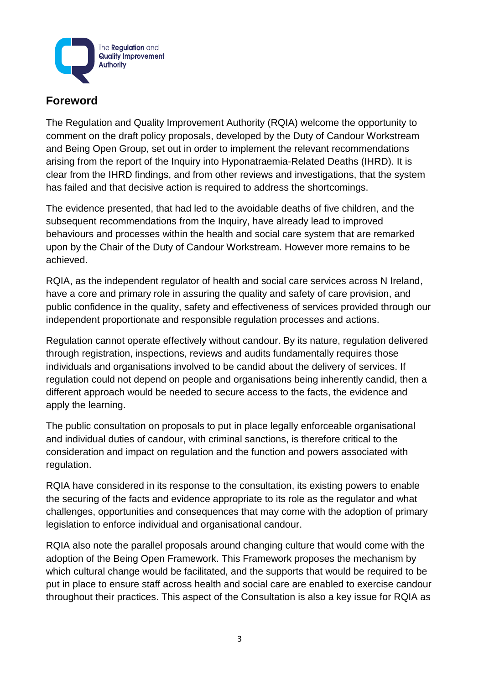

# **Foreword**

The Regulation and Quality Improvement Authority (RQIA) welcome the opportunity to comment on the draft policy proposals, developed by the Duty of Candour Workstream and Being Open Group, set out in order to implement the relevant recommendations arising from the report of the Inquiry into Hyponatraemia-Related Deaths (IHRD). It is clear from the IHRD findings, and from other reviews and investigations, that the system has failed and that decisive action is required to address the shortcomings.

The evidence presented, that had led to the avoidable deaths of five children, and the subsequent recommendations from the Inquiry, have already lead to improved behaviours and processes within the health and social care system that are remarked upon by the Chair of the Duty of Candour Workstream. However more remains to be achieved.

RQIA, as the independent regulator of health and social care services across N Ireland, have a core and primary role in assuring the quality and safety of care provision, and public confidence in the quality, safety and effectiveness of services provided through our independent proportionate and responsible regulation processes and actions.

Regulation cannot operate effectively without candour. By its nature, regulation delivered through registration, inspections, reviews and audits fundamentally requires those individuals and organisations involved to be candid about the delivery of services. If regulation could not depend on people and organisations being inherently candid, then a different approach would be needed to secure access to the facts, the evidence and apply the learning.

The public consultation on proposals to put in place legally enforceable organisational and individual duties of candour, with criminal sanctions, is therefore critical to the consideration and impact on regulation and the function and powers associated with regulation.

RQIA have considered in its response to the consultation, its existing powers to enable the securing of the facts and evidence appropriate to its role as the regulator and what challenges, opportunities and consequences that may come with the adoption of primary legislation to enforce individual and organisational candour.

RQIA also note the parallel proposals around changing culture that would come with the adoption of the Being Open Framework. This Framework proposes the mechanism by which cultural change would be facilitated, and the supports that would be required to be put in place to ensure staff across health and social care are enabled to exercise candour throughout their practices. This aspect of the Consultation is also a key issue for RQIA as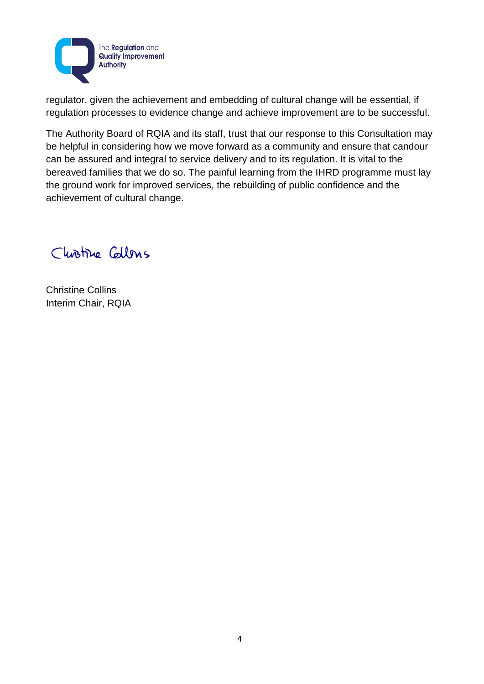

regulator, given the achievement and embedding of cultural change will be essential, if regulation processes to evidence change and achieve improvement are to be successful.

The Authority Board of RQIA and its staff, trust that our response to this Consultation may be helpful in considering how we move forward as a community and ensure that candour can be assured and integral to service delivery and to its regulation. It is vital to the bereaved families that we do so. The painful learning from the IHRD programme must lay the ground work for improved services, the rebuilding of public confidence and the achievement of cultural change.

Clinitive Callons

Christine Collins Interim Chair, RQIA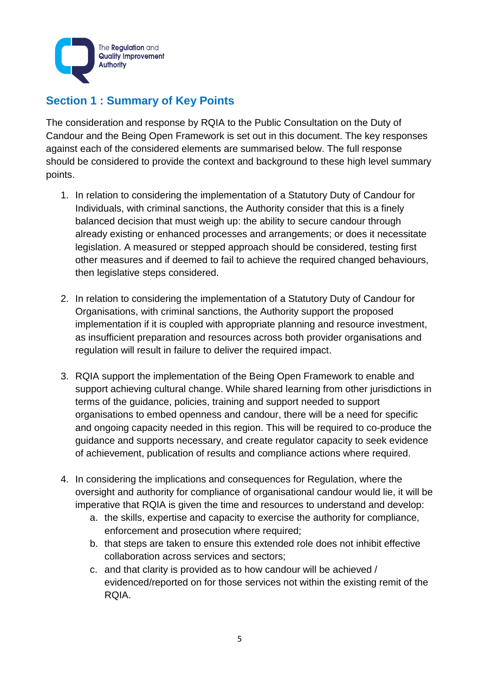

# **Section 1 : Summary of Key Points**

The consideration and response by RQIA to the Public Consultation on the Duty of Candour and the Being Open Framework is set out in this document. The key responses against each of the considered elements are summarised below. The full response should be considered to provide the context and background to these high level summary points.

- 1. In relation to considering the implementation of a Statutory Duty of Candour for Individuals, with criminal sanctions, the Authority consider that this is a finely balanced decision that must weigh up: the ability to secure candour through already existing or enhanced processes and arrangements; or does it necessitate legislation. A measured or stepped approach should be considered, testing first other measures and if deemed to fail to achieve the required changed behaviours, then legislative steps considered.
- 2. In relation to considering the implementation of a Statutory Duty of Candour for Organisations, with criminal sanctions, the Authority support the proposed implementation if it is coupled with appropriate planning and resource investment, as insufficient preparation and resources across both provider organisations and regulation will result in failure to deliver the required impact.
- 3. RQIA support the implementation of the Being Open Framework to enable and support achieving cultural change. While shared learning from other jurisdictions in terms of the guidance, policies, training and support needed to support organisations to embed openness and candour, there will be a need for specific and ongoing capacity needed in this region. This will be required to co-produce the guidance and supports necessary, and create regulator capacity to seek evidence of achievement, publication of results and compliance actions where required.
- 4. In considering the implications and consequences for Regulation, where the oversight and authority for compliance of organisational candour would lie, it will be imperative that RQIA is given the time and resources to understand and develop:
	- a. the skills, expertise and capacity to exercise the authority for compliance, enforcement and prosecution where required;
	- b. that steps are taken to ensure this extended role does not inhibit effective collaboration across services and sectors;
	- c. and that clarity is provided as to how candour will be achieved / evidenced/reported on for those services not within the existing remit of the RQIA.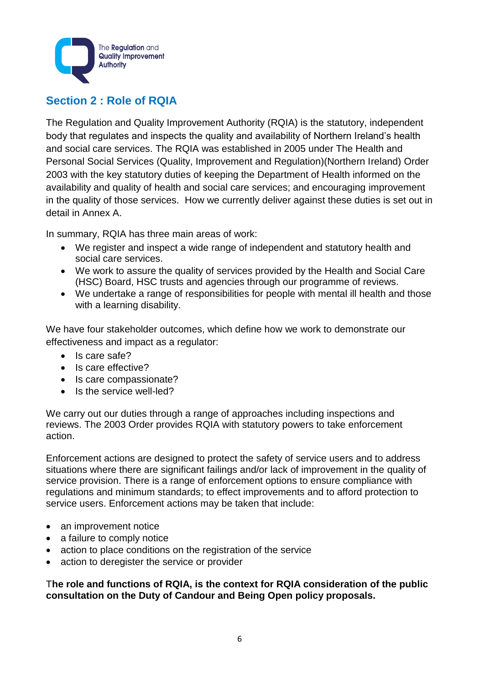

# **Section 2 : Role of RQIA**

The Regulation and Quality Improvement Authority (RQIA) is the statutory, independent body that regulates and inspects the quality and availability of Northern Ireland's health and social care services. The RQIA was established in 2005 under The Health and Personal Social Services (Quality, Improvement and Regulation)(Northern Ireland) Order 2003 with the key statutory duties of keeping the Department of Health informed on the availability and quality of health and social care services; and encouraging improvement in the quality of those services. How we currently deliver against these duties is set out in detail in Annex A.

In summary, RQIA has three main areas of work:

- We register and inspect a wide range of independent and statutory health and social care services.
- We work to assure the quality of services provided by the Health and Social Care (HSC) Board, HSC trusts and agencies through our programme of reviews.
- We undertake a range of responsibilities for people with mental ill health and those with a learning disability.

We have four stakeholder outcomes, which define how we work to demonstrate our effectiveness and impact as a regulator:

- Is care safe?
- Is care effective?
- Is care compassionate?
- Is the service well-led?

We carry out our duties through a range of approaches including inspections and reviews. The 2003 Order provides RQIA with statutory powers to take enforcement action.

Enforcement actions are designed to protect the safety of service users and to address situations where there are significant failings and/or lack of improvement in the quality of service provision. There is a range of enforcement options to ensure compliance with regulations and minimum standards; to effect improvements and to afford protection to service users. Enforcement actions may be taken that include:

- an improvement notice
- a failure to comply notice
- action to place conditions on the registration of the service
- action to deregister the service or provider

T**he role and functions of RQIA, is the context for RQIA consideration of the public consultation on the Duty of Candour and Being Open policy proposals.**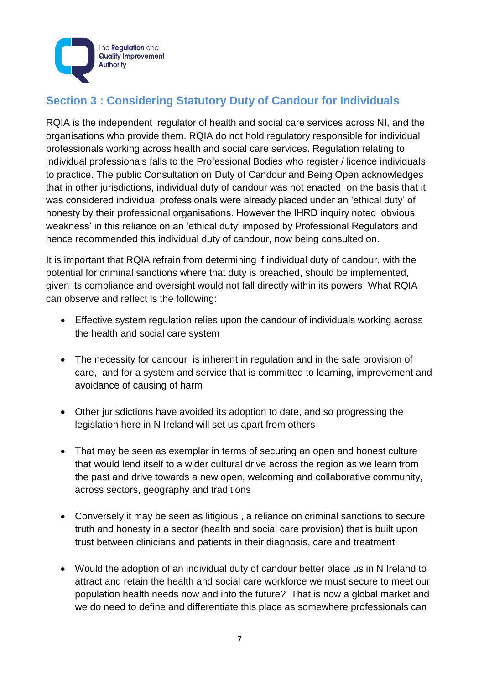

# **Section 3 : Considering Statutory Duty of Candour for Individuals**

RQIA is the independent regulator of health and social care services across NI, and the organisations who provide them. RQIA do not hold regulatory responsible for individual professionals working across health and social care services. Regulation relating to individual professionals falls to the Professional Bodies who register / licence individuals to practice. The public Consultation on Duty of Candour and Being Open acknowledges that in other jurisdictions, individual duty of candour was not enacted on the basis that it was considered individual professionals were already placed under an 'ethical duty' of honesty by their professional organisations. However the IHRD inquiry noted 'obvious weakness' in this reliance on an 'ethical duty' imposed by Professional Regulators and hence recommended this individual duty of candour, now being consulted on.

It is important that RQIA refrain from determining if individual duty of candour, with the potential for criminal sanctions where that duty is breached, should be implemented, given its compliance and oversight would not fall directly within its powers. What RQIA can observe and reflect is the following:

- Effective system regulation relies upon the candour of individuals working across the health and social care system
- The necessity for candour is inherent in regulation and in the safe provision of care, and for a system and service that is committed to learning, improvement and avoidance of causing of harm
- Other jurisdictions have avoided its adoption to date, and so progressing the legislation here in N Ireland will set us apart from others
- That may be seen as exemplar in terms of securing an open and honest culture that would lend itself to a wider cultural drive across the region as we learn from the past and drive towards a new open, welcoming and collaborative community, across sectors, geography and traditions
- Conversely it may be seen as litigious , a reliance on criminal sanctions to secure truth and honesty in a sector (health and social care provision) that is built upon trust between clinicians and patients in their diagnosis, care and treatment
- Would the adoption of an individual duty of candour better place us in N Ireland to attract and retain the health and social care workforce we must secure to meet our population health needs now and into the future? That is now a global market and we do need to define and differentiate this place as somewhere professionals can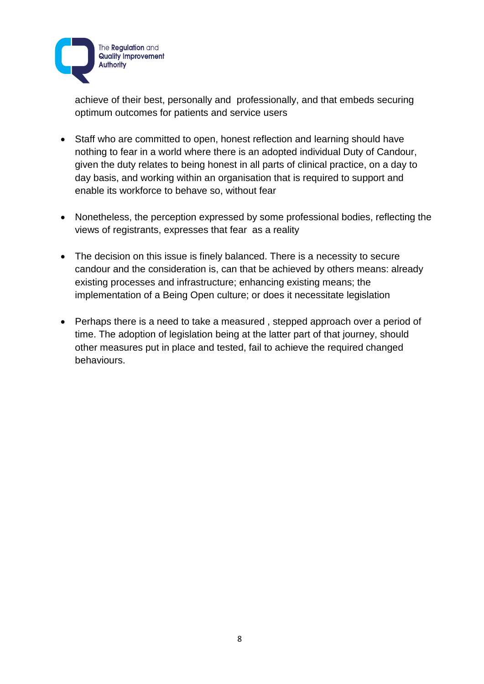

achieve of their best, personally and professionally, and that embeds securing optimum outcomes for patients and service users

- Staff who are committed to open, honest reflection and learning should have nothing to fear in a world where there is an adopted individual Duty of Candour, given the duty relates to being honest in all parts of clinical practice, on a day to day basis, and working within an organisation that is required to support and enable its workforce to behave so, without fear
- Nonetheless, the perception expressed by some professional bodies, reflecting the views of registrants, expresses that fear as a reality
- The decision on this issue is finely balanced. There is a necessity to secure candour and the consideration is, can that be achieved by others means: already existing processes and infrastructure; enhancing existing means; the implementation of a Being Open culture; or does it necessitate legislation
- Perhaps there is a need to take a measured, stepped approach over a period of time. The adoption of legislation being at the latter part of that journey, should other measures put in place and tested, fail to achieve the required changed behaviours.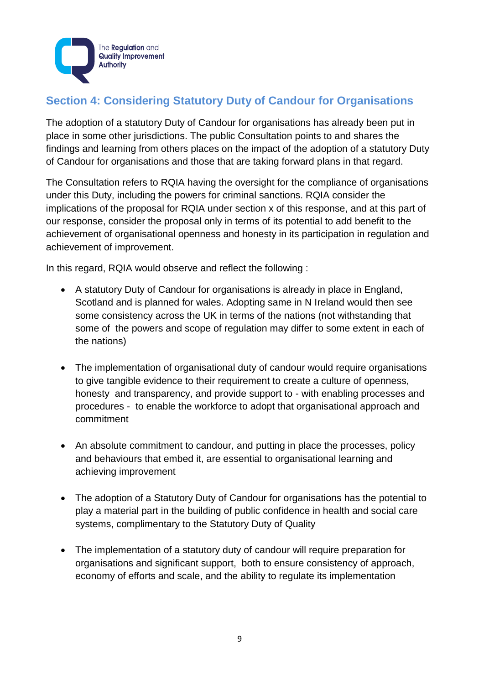

# **Section 4: Considering Statutory Duty of Candour for Organisations**

The adoption of a statutory Duty of Candour for organisations has already been put in place in some other jurisdictions. The public Consultation points to and shares the findings and learning from others places on the impact of the adoption of a statutory Duty of Candour for organisations and those that are taking forward plans in that regard.

The Consultation refers to RQIA having the oversight for the compliance of organisations under this Duty, including the powers for criminal sanctions. RQIA consider the implications of the proposal for RQIA under section x of this response, and at this part of our response, consider the proposal only in terms of its potential to add benefit to the achievement of organisational openness and honesty in its participation in regulation and achievement of improvement.

In this regard, RQIA would observe and reflect the following :

- A statutory Duty of Candour for organisations is already in place in England, Scotland and is planned for wales. Adopting same in N Ireland would then see some consistency across the UK in terms of the nations (not withstanding that some of the powers and scope of regulation may differ to some extent in each of the nations)
- The implementation of organisational duty of candour would require organisations to give tangible evidence to their requirement to create a culture of openness, honesty and transparency, and provide support to - with enabling processes and procedures - to enable the workforce to adopt that organisational approach and commitment
- An absolute commitment to candour, and putting in place the processes, policy and behaviours that embed it, are essential to organisational learning and achieving improvement
- The adoption of a Statutory Duty of Candour for organisations has the potential to play a material part in the building of public confidence in health and social care systems, complimentary to the Statutory Duty of Quality
- The implementation of a statutory duty of candour will require preparation for organisations and significant support, both to ensure consistency of approach, economy of efforts and scale, and the ability to regulate its implementation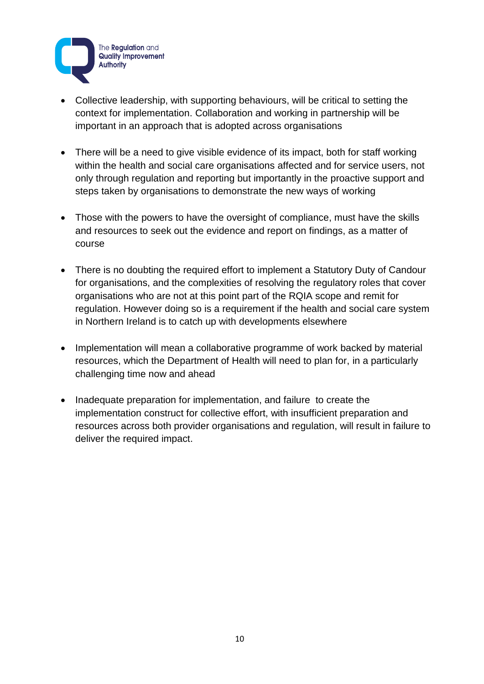

- Collective leadership, with supporting behaviours, will be critical to setting the context for implementation. Collaboration and working in partnership will be important in an approach that is adopted across organisations
- There will be a need to give visible evidence of its impact, both for staff working within the health and social care organisations affected and for service users, not only through regulation and reporting but importantly in the proactive support and steps taken by organisations to demonstrate the new ways of working
- Those with the powers to have the oversight of compliance, must have the skills and resources to seek out the evidence and report on findings, as a matter of course
- There is no doubting the required effort to implement a Statutory Duty of Candour for organisations, and the complexities of resolving the regulatory roles that cover organisations who are not at this point part of the RQIA scope and remit for regulation. However doing so is a requirement if the health and social care system in Northern Ireland is to catch up with developments elsewhere
- Implementation will mean a collaborative programme of work backed by material resources, which the Department of Health will need to plan for, in a particularly challenging time now and ahead
- Inadequate preparation for implementation, and failure to create the implementation construct for collective effort, with insufficient preparation and resources across both provider organisations and regulation, will result in failure to deliver the required impact.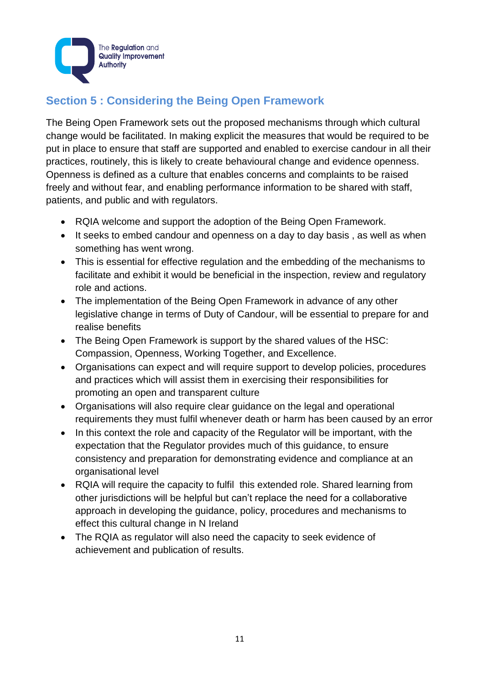

# **Section 5 : Considering the Being Open Framework**

The Being Open Framework sets out the proposed mechanisms through which cultural change would be facilitated. In making explicit the measures that would be required to be put in place to ensure that staff are supported and enabled to exercise candour in all their practices, routinely, this is likely to create behavioural change and evidence openness. Openness is defined as a culture that enables concerns and complaints to be raised freely and without fear, and enabling performance information to be shared with staff, patients, and public and with regulators.

- RQIA welcome and support the adoption of the Being Open Framework.
- It seeks to embed candour and openness on a day to day basis, as well as when something has went wrong.
- This is essential for effective regulation and the embedding of the mechanisms to facilitate and exhibit it would be beneficial in the inspection, review and regulatory role and actions.
- The implementation of the Being Open Framework in advance of any other legislative change in terms of Duty of Candour, will be essential to prepare for and realise benefits
- The Being Open Framework is support by the shared values of the HSC: Compassion, Openness, Working Together, and Excellence.
- Organisations can expect and will require support to develop policies, procedures and practices which will assist them in exercising their responsibilities for promoting an open and transparent culture
- Organisations will also require clear guidance on the legal and operational requirements they must fulfil whenever death or harm has been caused by an error
- In this context the role and capacity of the Regulator will be important, with the expectation that the Regulator provides much of this guidance, to ensure consistency and preparation for demonstrating evidence and compliance at an organisational level
- RQIA will require the capacity to fulfil this extended role. Shared learning from other jurisdictions will be helpful but can't replace the need for a collaborative approach in developing the guidance, policy, procedures and mechanisms to effect this cultural change in N Ireland
- The RQIA as regulator will also need the capacity to seek evidence of achievement and publication of results.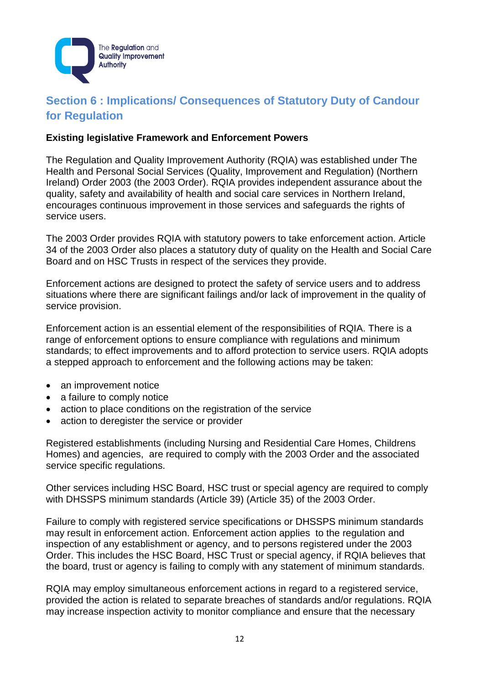

# **Section 6 : Implications/ Consequences of Statutory Duty of Candour for Regulation**

### **Existing legislative Framework and Enforcement Powers**

The Regulation and Quality Improvement Authority (RQIA) was established under The Health and Personal Social Services (Quality, Improvement and Regulation) (Northern Ireland) Order 2003 (the 2003 Order). RQIA provides independent assurance about the quality, safety and availability of health and social care services in Northern Ireland, encourages continuous improvement in those services and safeguards the rights of service users.

The 2003 Order provides RQIA with statutory powers to take enforcement action. Article 34 of the 2003 Order also places a statutory duty of quality on the Health and Social Care Board and on HSC Trusts in respect of the services they provide.

Enforcement actions are designed to protect the safety of service users and to address situations where there are significant failings and/or lack of improvement in the quality of service provision.

Enforcement action is an essential element of the responsibilities of RQIA. There is a range of enforcement options to ensure compliance with regulations and minimum standards; to effect improvements and to afford protection to service users. RQIA adopts a stepped approach to enforcement and the following actions may be taken:

- an improvement notice
- a failure to comply notice
- action to place conditions on the registration of the service
- action to deregister the service or provider

Registered establishments (including Nursing and Residential Care Homes, Childrens Homes) and agencies, are required to comply with the 2003 Order and the associated service specific regulations.

Other services including HSC Board, HSC trust or special agency are required to comply with DHSSPS minimum standards (Article 39) (Article 35) of the 2003 Order.

Failure to comply with registered service specifications or DHSSPS minimum standards may result in enforcement action. Enforcement action applies to the regulation and inspection of any establishment or agency, and to persons registered under the 2003 Order. This includes the HSC Board, HSC Trust or special agency, if RQIA believes that the board, trust or agency is failing to comply with any statement of minimum standards.

RQIA may employ simultaneous enforcement actions in regard to a registered service, provided the action is related to separate breaches of standards and/or regulations. RQIA may increase inspection activity to monitor compliance and ensure that the necessary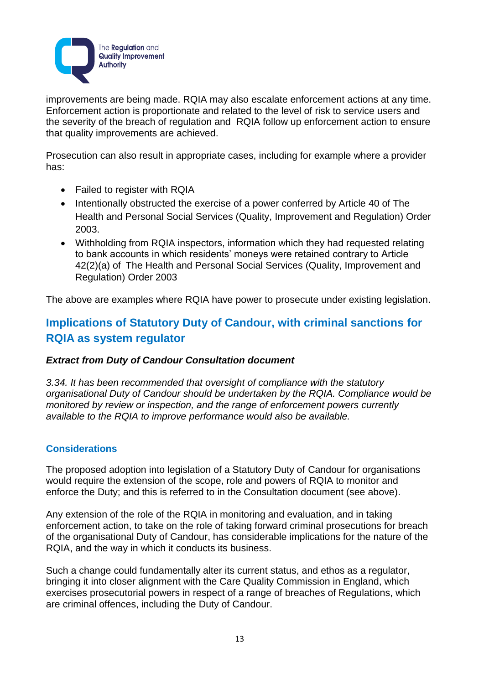

improvements are being made. RQIA may also escalate enforcement actions at any time. Enforcement action is proportionate and related to the level of risk to service users and the severity of the breach of regulation and RQIA follow up enforcement action to ensure that quality improvements are achieved.

Prosecution can also result in appropriate cases, including for example where a provider has:

- Failed to register with RQIA
- Intentionally obstructed the exercise of a power conferred by Article 40 of The Health and Personal Social Services (Quality, Improvement and Regulation) Order 2003.
- Withholding from RQIA inspectors, information which they had requested relating to bank accounts in which residents' moneys were retained contrary to Article 42(2)(a) of The Health and Personal Social Services (Quality, Improvement and Regulation) Order 2003

The above are examples where RQIA have power to prosecute under existing legislation.

# **Implications of Statutory Duty of Candour, with criminal sanctions for RQIA as system regulator**

#### *Extract from Duty of Candour Consultation document*

*3.34. It has been recommended that oversight of compliance with the statutory organisational Duty of Candour should be undertaken by the RQIA. Compliance would be monitored by review or inspection, and the range of enforcement powers currently available to the RQIA to improve performance would also be available.* 

## **Considerations**

The proposed adoption into legislation of a Statutory Duty of Candour for organisations would require the extension of the scope, role and powers of RQIA to monitor and enforce the Duty; and this is referred to in the Consultation document (see above).

Any extension of the role of the RQIA in monitoring and evaluation, and in taking enforcement action, to take on the role of taking forward criminal prosecutions for breach of the organisational Duty of Candour, has considerable implications for the nature of the RQIA, and the way in which it conducts its business.

Such a change could fundamentally alter its current status, and ethos as a regulator, bringing it into closer alignment with the Care Quality Commission in England, which exercises prosecutorial powers in respect of a range of breaches of Regulations, which are criminal offences, including the Duty of Candour.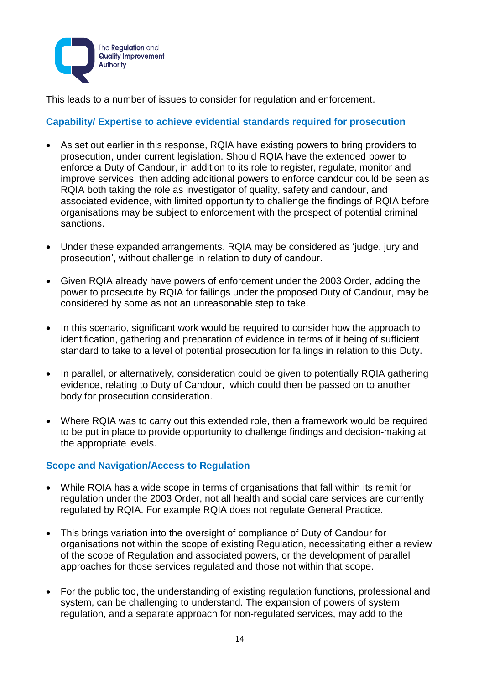

This leads to a number of issues to consider for regulation and enforcement.

### **Capability/ Expertise to achieve evidential standards required for prosecution**

- As set out earlier in this response, RQIA have existing powers to bring providers to prosecution, under current legislation. Should RQIA have the extended power to enforce a Duty of Candour, in addition to its role to register, regulate, monitor and improve services, then adding additional powers to enforce candour could be seen as RQIA both taking the role as investigator of quality, safety and candour, and associated evidence, with limited opportunity to challenge the findings of RQIA before organisations may be subject to enforcement with the prospect of potential criminal sanctions.
- Under these expanded arrangements, RQIA may be considered as 'judge, jury and prosecution', without challenge in relation to duty of candour.
- Given RQIA already have powers of enforcement under the 2003 Order, adding the power to prosecute by RQIA for failings under the proposed Duty of Candour, may be considered by some as not an unreasonable step to take.
- In this scenario, significant work would be required to consider how the approach to identification, gathering and preparation of evidence in terms of it being of sufficient standard to take to a level of potential prosecution for failings in relation to this Duty.
- In parallel, or alternatively, consideration could be given to potentially RQIA gathering evidence, relating to Duty of Candour, which could then be passed on to another body for prosecution consideration.
- Where RQIA was to carry out this extended role, then a framework would be required to be put in place to provide opportunity to challenge findings and decision-making at the appropriate levels.

## **Scope and Navigation/Access to Regulation**

- While RQIA has a wide scope in terms of organisations that fall within its remit for regulation under the 2003 Order, not all health and social care services are currently regulated by RQIA. For example RQIA does not regulate General Practice.
- This brings variation into the oversight of compliance of Duty of Candour for organisations not within the scope of existing Regulation, necessitating either a review of the scope of Regulation and associated powers, or the development of parallel approaches for those services regulated and those not within that scope.
- For the public too, the understanding of existing regulation functions, professional and system, can be challenging to understand. The expansion of powers of system regulation, and a separate approach for non-regulated services, may add to the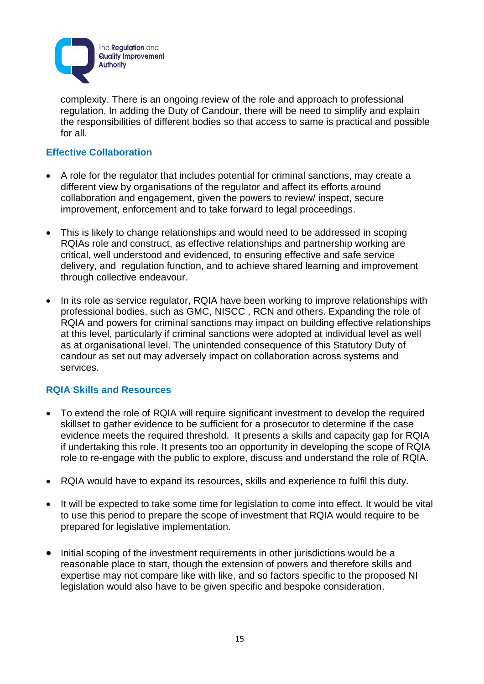

complexity. There is an ongoing review of the role and approach to professional regulation. In adding the Duty of Candour, there will be need to simplify and explain the responsibilities of different bodies so that access to same is practical and possible for all.

### **Effective Collaboration**

- A role for the regulator that includes potential for criminal sanctions, may create a different view by organisations of the regulator and affect its efforts around collaboration and engagement, given the powers to review/ inspect, secure improvement, enforcement and to take forward to legal proceedings.
- This is likely to change relationships and would need to be addressed in scoping RQIAs role and construct, as effective relationships and partnership working are critical, well understood and evidenced, to ensuring effective and safe service delivery, and regulation function, and to achieve shared learning and improvement through collective endeavour.
- In its role as service regulator, RQIA have been working to improve relationships with professional bodies, such as GMC, NISCC , RCN and others. Expanding the role of RQIA and powers for criminal sanctions may impact on building effective relationships at this level, particularly if criminal sanctions were adopted at individual level as well as at organisational level. The unintended consequence of this Statutory Duty of candour as set out may adversely impact on collaboration across systems and services.

#### **RQIA Skills and Resources**

- To extend the role of RQIA will require significant investment to develop the required skillset to gather evidence to be sufficient for a prosecutor to determine if the case evidence meets the required threshold. It presents a skills and capacity gap for RQIA if undertaking this role. It presents too an opportunity in developing the scope of RQIA role to re-engage with the public to explore, discuss and understand the role of RQIA.
- RQIA would have to expand its resources, skills and experience to fulfil this duty.
- It will be expected to take some time for legislation to come into effect. It would be vital to use this period to prepare the scope of investment that RQIA would require to be prepared for legislative implementation.
- Initial scoping of the investment requirements in other jurisdictions would be a reasonable place to start, though the extension of powers and therefore skills and expertise may not compare like with like, and so factors specific to the proposed NI legislation would also have to be given specific and bespoke consideration.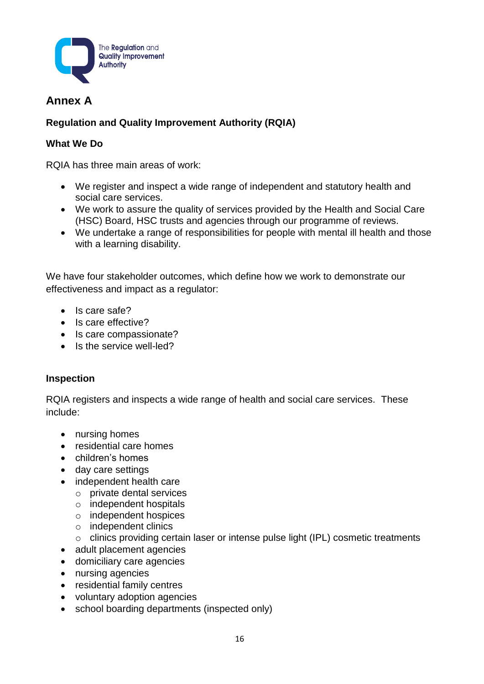

# **Annex A**

# **Regulation and Quality Improvement Authority (RQIA)**

### **What We Do**

RQIA has three main areas of work:

- We register and inspect a wide range of independent and statutory health and social care services.
- We work to assure the quality of services provided by the Health and Social Care (HSC) Board, HSC trusts and agencies through our programme of reviews.
- We undertake a range of responsibilities for people with mental ill health and those with a learning disability.

We have four stakeholder outcomes, which define how we work to demonstrate our effectiveness and impact as a regulator:

- Is care safe?
- Is care effective?
- Is care compassionate?
- Is the service well-led?

#### **Inspection**

RQIA registers and inspects a wide range of health and social care services. These include:

- nursing homes
- residential care homes
- children's homes
- day care settings
- independent health care
	- o private dental services
	- o independent hospitals
	- o independent hospices
	- o independent clinics
	- o clinics providing certain laser or intense pulse light (IPL) cosmetic treatments
- adult placement agencies
- domiciliary care agencies
- nursing agencies
- residential family centres
- voluntary adoption agencies
- school boarding departments (inspected only)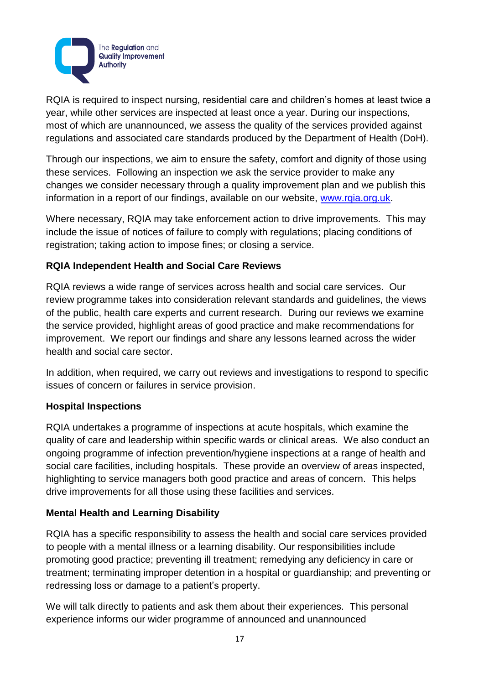

RQIA is required to inspect nursing, residential care and children's homes at least twice a year, while other services are inspected at least once a year. During our inspections, most of which are unannounced, we assess the quality of the services provided against regulations and associated care standards produced by the Department of Health (DoH).

Through our inspections, we aim to ensure the safety, comfort and dignity of those using these services. Following an inspection we ask the service provider to make any changes we consider necessary through a quality improvement plan and we publish this information in a report of our findings, available on our website, [www.rqia.org.uk.](http://www.rqia.org.uk/)

Where necessary, RQIA may take enforcement action to drive improvements. This may include the issue of notices of failure to comply with regulations; placing conditions of registration; taking action to impose fines; or closing a service.

## **RQIA Independent Health and Social Care Reviews**

RQIA reviews a wide range of services across health and social care services. Our review programme takes into consideration relevant standards and guidelines, the views of the public, health care experts and current research. During our reviews we examine the service provided, highlight areas of good practice and make recommendations for improvement. We report our findings and share any lessons learned across the wider health and social care sector.

In addition, when required, we carry out reviews and investigations to respond to specific issues of concern or failures in service provision.

## **Hospital Inspections**

RQIA undertakes a programme of inspections at acute hospitals, which examine the quality of care and leadership within specific wards or clinical areas. We also conduct an ongoing programme of infection prevention/hygiene inspections at a range of health and social care facilities, including hospitals. These provide an overview of areas inspected, highlighting to service managers both good practice and areas of concern. This helps drive improvements for all those using these facilities and services.

## **Mental Health and Learning Disability**

RQIA has a specific responsibility to assess the health and social care services provided to people with a mental illness or a learning disability. Our responsibilities include promoting good practice; preventing ill treatment; remedying any deficiency in care or treatment; terminating improper detention in a hospital or guardianship; and preventing or redressing loss or damage to a patient's property.

We will talk directly to patients and ask them about their experiences. This personal experience informs our wider programme of announced and unannounced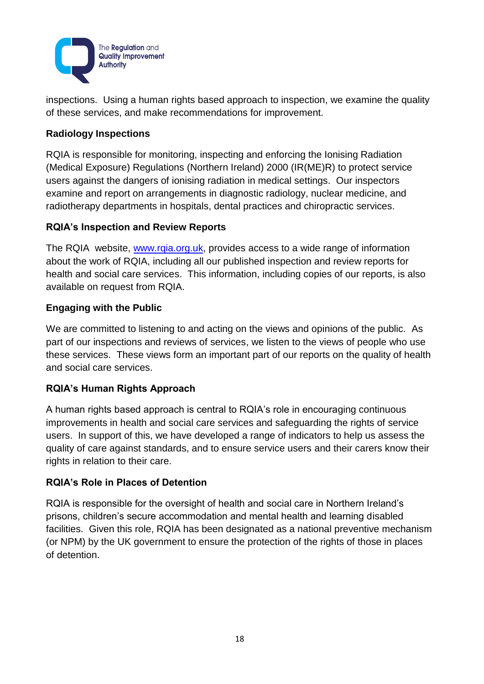

inspections. Using a human rights based approach to inspection, we examine the quality of these services, and make recommendations for improvement.

# **Radiology Inspections**

RQIA is responsible for monitoring, inspecting and enforcing the Ionising Radiation (Medical Exposure) Regulations (Northern Ireland) 2000 (IR(ME)R) to protect service users against the dangers of ionising radiation in medical settings. Our inspectors examine and report on arrangements in diagnostic radiology, nuclear medicine, and radiotherapy departments in hospitals, dental practices and chiropractic services.

# **RQIA's Inspection and Review Reports**

The RQIA website, www.rgia.org.uk, provides access to a wide range of information about the work of RQIA, including all our published inspection and review reports for health and social care services. This information, including copies of our reports, is also available on request from RQIA.

# **Engaging with the Public**

We are committed to listening to and acting on the views and opinions of the public. As part of our inspections and reviews of services, we listen to the views of people who use these services. These views form an important part of our reports on the quality of health and social care services.

# **RQIA's Human Rights Approach**

A human rights based approach is central to RQIA's role in encouraging continuous improvements in health and social care services and safeguarding the rights of service users. In support of this, we have developed a range of indicators to help us assess the quality of care against standards, and to ensure service users and their carers know their rights in relation to their care.

## **RQIA's Role in Places of Detention**

RQIA is responsible for the oversight of health and social care in Northern Ireland's prisons, children's secure accommodation and mental health and learning disabled facilities. Given this role, RQIA has been designated as a national preventive mechanism (or NPM) by the UK government to ensure the protection of the rights of those in places of detention.